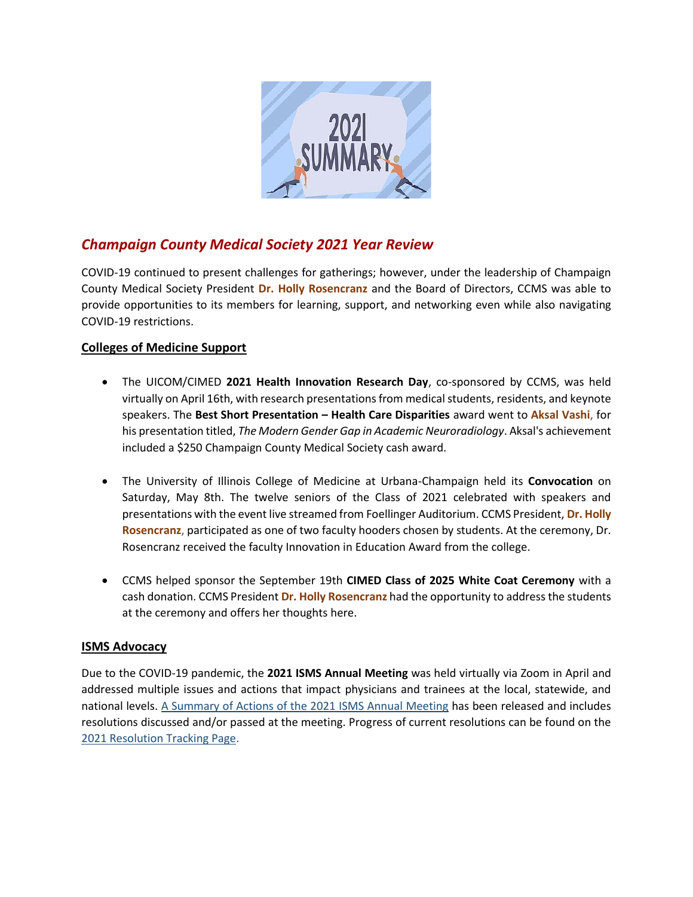

# *Champaign County Medical Society 2021 Year Review*

COVID-19 continued to present challenges for gatherings; however, under the leadership of Champaign County Medical Society President **Dr. Holly Rosencranz** and the Board of Directors, CCMS was able to provide opportunities to its members for learning, support, and networking even while also navigating COVID-19 restrictions.

## **Colleges of Medicine Support**

- The UICOM/CIMED **2021 Health Innovation Research Day**, co-sponsored by CCMS, was held virtually on April 16th, with research presentations from medical students, residents, and keynote speakers. The **Best Short Presentation – Health Care Disparities** award went to **Aksal Vashi**, for his presentation titled, *The Modern Gender Gap in Academic Neuroradiology*. Aksal's achievement included a \$250 Champaign County Medical Society cash award.
- The University of Illinois College of Medicine at Urbana-Champaign held its **Convocation** on Saturday, May 8th. The twelve seniors of the Class of 2021 celebrated with speakers and presentations with the event live streamed from Foellinger Auditorium. CCMS President, **Dr. Holly Rosencranz**, participated as one of two faculty hooders chosen by students. At the ceremony, Dr. Rosencranz received the faculty Innovation in Education Award from the college.
- CCMS helped sponsor the September 19th **CIMED Class of 2025 White Coat Ceremony** with a cash donation. CCMS President **Dr. Holly Rosencranz** had the opportunity to address the students at the ceremony and offers her thoughts here.

## **ISMS Advocacy**

Due to the COVID-19 pandemic, the **2021 ISMS Annual Meeting** was held virtually via Zoom in April and addressed multiple issues and actions that impact physicians and trainees at the local, statewide, and national levels. [A Summary of Actions of the 2021 ISMS Annual Meeting](https://mcusercontent.com/df19c2b7d61e0ccbba37be052/files/83ee631d-4ed9-ef16-e948-240f208c37e7/ISMS_Summary_of_Actions_2021.pdf) has been released and includes resolutions discussed and/or passed at the meeting. Progress of current resolutions can be found on the [2021 Resolution Tracking Page.](https://www.isms.org/tracking21/)